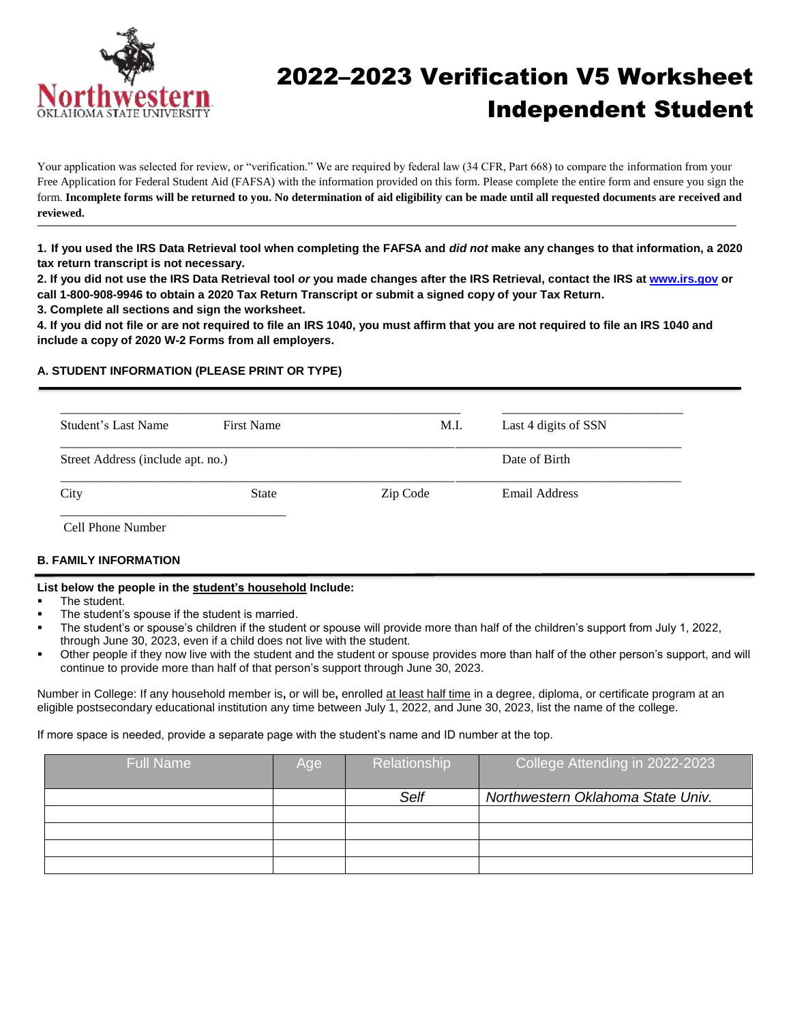

# 2022–2023 Verification V5 Worksheet Independent Student

Your application was selected for review, or "verification." We are required by federal law (34 CFR, Part 668) to compare the information from your Free Application for Federal Student Aid (FAFSA) with the information provided on this form. Please complete the entire form and ensure you sign the form. **Incomplete forms will be returned to you. No determination of aid eligibility can be made until all requested documents are received and reviewed.**

**1. If you used the IRS Data Retrieval tool when completing the FAFSA and** *did not* **make any changes to that information, a 2020 tax return transcript is not necessary.**

**2. If you did not use the IRS Data Retrieval tool** *or* **you made changes after the IRS Retrieval, contact the IRS at [www.irs.gov](http://www.irs.gov/) or call 1-800-908-9946 to obtain a 2020 Tax Return Transcript or submit a signed copy of your Tax Return.**

**3. Complete all sections and sign the worksheet.**

**4. If you did not file or are not required to file an IRS 1040, you must affirm that you are not required to file an IRS 1040 and include a copy of 2020 W-2 Forms from all employers.**

#### **A. STUDENT INFORMATION (PLEASE PRINT OR TYPE)**

| Student's Last Name               | <b>First Name</b> | M.I.     | Last 4 digits of SSN |
|-----------------------------------|-------------------|----------|----------------------|
| Street Address (include apt. no.) |                   |          | Date of Birth        |
| City                              | <b>State</b>      | Zip Code | Email Address        |

Cell Phone Number

#### **B. FAMILY INFORMATION**

#### **List below the people in the student's household Include:**

- The student.
- The student's spouse if the student is married.
- The student's or spouse's children if the student or spouse will provide more than half of the children's support from July 1, 2022, through June 30, 2023, even if a child does not live with the student.
- Other people if they now live with the student and the student or spouse provides more than half of the other person's support, and will continue to provide more than half of that person's support through June 30, 2023.

Number in College: If any household member is**,** or will be**,** enrolled at least half time in a degree, diploma, or certificate program at an eligible postsecondary educational institution any time between July 1, 2022, and June 30, 2023, list the name of the college.

If more space is needed, provide a separate page with the student's name and ID number at the top.

| <b>Full Name</b> | Age | Relationship | College Attending in 2022-2023    |
|------------------|-----|--------------|-----------------------------------|
|                  |     | Self         | Northwestern Oklahoma State Univ. |
|                  |     |              |                                   |
|                  |     |              |                                   |
|                  |     |              |                                   |
|                  |     |              |                                   |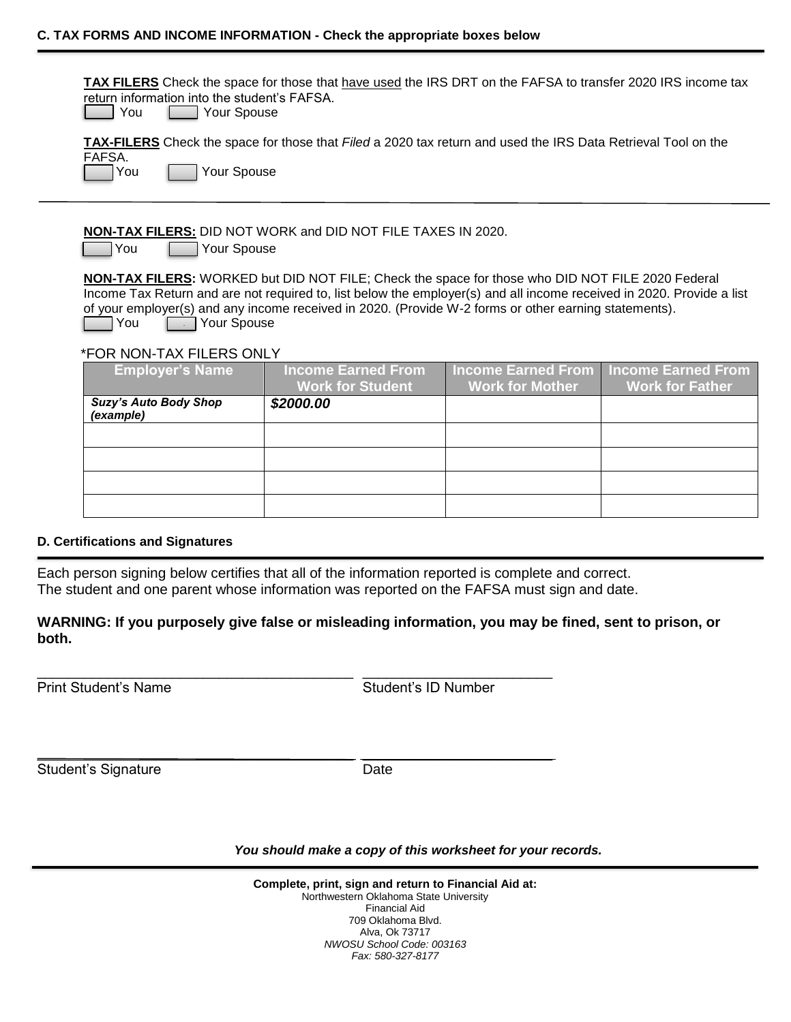**TAX FILERS** Check the space for those that have used the IRS DRT on the FAFSA to transfer 2020 IRS income tax return information into the student's FAFSA.

| l You |  | Your Spouse |
|-------|--|-------------|
|-------|--|-------------|

**TAX-FILERS** Check the space for those that *Filed* a 2020 tax return and used the IRS Data Retrieval Tool on the FAFSA.

You Your Spouse

**NON-TAX FILERS:** DID NOT WORK and DID NOT FILE TAXES IN 2020.

You **Your Spouse** 

**NON-TAX FILERS:** WORKED but DID NOT FILE; Check the space for those who DID NOT FILE 2020 Federal Income Tax Return and are not required to, list below the employer(s) and all income received in 2020. Provide a list of your employer(s) and any income received in 2020. (Provide W-2 forms or other earning statements). **Source** Your Spouse

#### \*FOR NON-TAX FILERS ONLY

| <b>Employer's Name</b>                    | <b>Income Earned From</b><br><b>Work for Student</b> | <b>Work for Mother</b> | <b>Income Earned From   Income Earned From</b><br><b>Work for Father</b> |
|-------------------------------------------|------------------------------------------------------|------------------------|--------------------------------------------------------------------------|
| <b>Suzy's Auto Body Shop</b><br>(example) | \$2000.00                                            |                        |                                                                          |
|                                           |                                                      |                        |                                                                          |
|                                           |                                                      |                        |                                                                          |
|                                           |                                                      |                        |                                                                          |
|                                           |                                                      |                        |                                                                          |

#### **D. Certifications and Signatures**

Each person signing below certifies that all of the information reported is complete and correct. The student and one parent whose information was reported on the FAFSA must sign and date.

\_\_\_\_\_\_\_\_\_\_\_\_\_\_\_\_\_\_\_\_\_\_\_\_\_\_\_\_\_\_\_\_\_\_\_\_\_\_\_\_ \_\_\_\_\_\_\_\_\_\_\_\_\_\_\_\_\_\_\_\_\_\_\_\_

\_\_\_\_\_\_\_\_\_\_\_\_\_\_\_\_\_\_\_\_\_\_\_\_\_\_\_\_\_\_\_\_\_\_\_\_\_\_\_\_ \_\_\_\_\_\_\_\_\_\_\_\_\_\_\_\_\_\_\_\_\_\_\_\_

### **WARNING: If you purposely give false or misleading information, you may be fined, sent to prison, or both.**

Print Student's Name Student's ID Number

Student's Signature Date

*You should make a copy of this worksheet for your records.*

| Complete, print, sign and return to Financial Aid at: |  |
|-------------------------------------------------------|--|
| Northwestern Oklahoma State University                |  |
| Financial Aid                                         |  |
| 709 Oklahoma Blvd.                                    |  |
| Alva, Ok 73717                                        |  |
| NWOSU School Code: 003163                             |  |
| Fax: 580-327-8177                                     |  |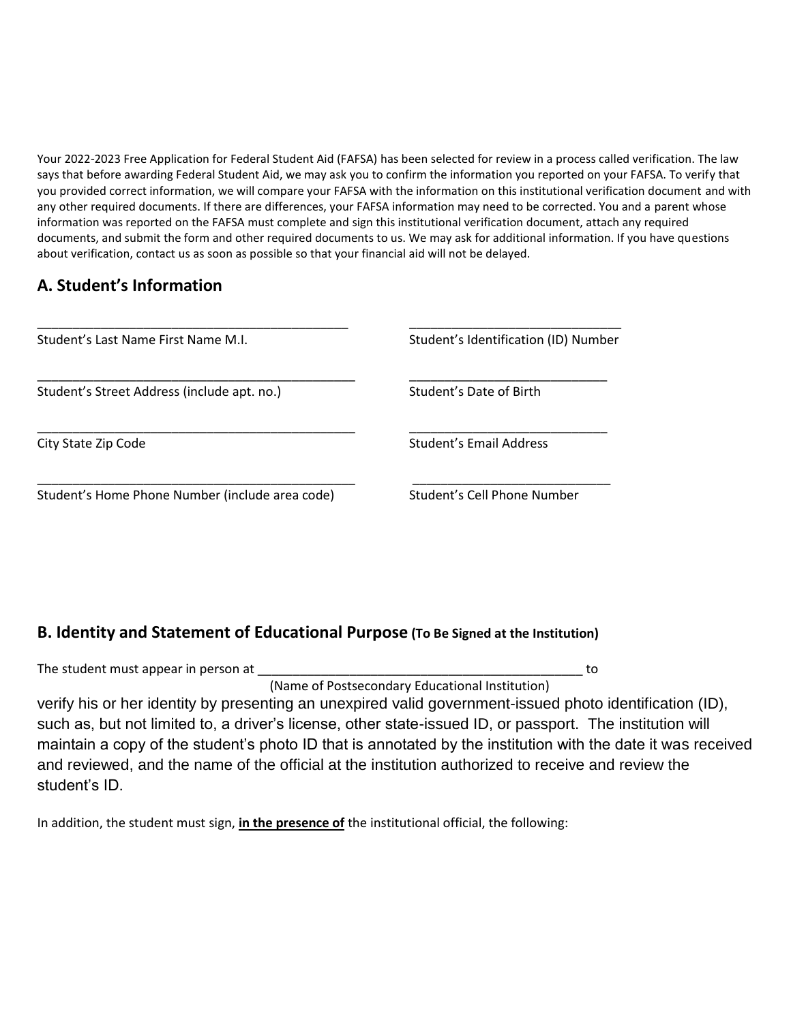Your 2022-2023 Free Application for Federal Student Aid (FAFSA) has been selected for review in a process called verification. The law says that before awarding Federal Student Aid, we may ask you to confirm the information you reported on your FAFSA. To verify that you provided correct information, we will compare your FAFSA with the information on this institutional verification document and with any other required documents. If there are differences, your FAFSA information may need to be corrected. You and a parent whose information was reported on the FAFSA must complete and sign this institutional verification document, attach any required documents, and submit the form and other required documents to us. We may ask for additional information. If you have questions about verification, contact us as soon as possible so that your financial aid will not be delayed.

### **A. Student's Information**

| Student's Last Name First Name M.I.             | Student's Identification (ID) Number |
|-------------------------------------------------|--------------------------------------|
| Student's Street Address (include apt. no.)     | Student's Date of Birth              |
| City State Zip Code                             | Student's Email Address              |
| Student's Home Phone Number (include area code) | Student's Cell Phone Number          |

### **B. Identity and Statement of Educational Purpose (To Be Signed at the Institution)**

| The student must appear in person at                                                                         | to |
|--------------------------------------------------------------------------------------------------------------|----|
| (Name of Postsecondary Educational Institution)                                                              |    |
| verify his or her identity by presenting an unexpired valid government-issued photo identification (ID),     |    |
| such as, but not limited to, a driver's license, other state-issued ID, or passport. The institution will    |    |
| maintain a copy of the student's photo ID that is annotated by the institution with the date it was received |    |
| and reviewed, and the name of the official at the institution authorized to receive and review the           |    |
| student's ID.                                                                                                |    |

In addition, the student must sign, **in the presence of** the institutional official, the following: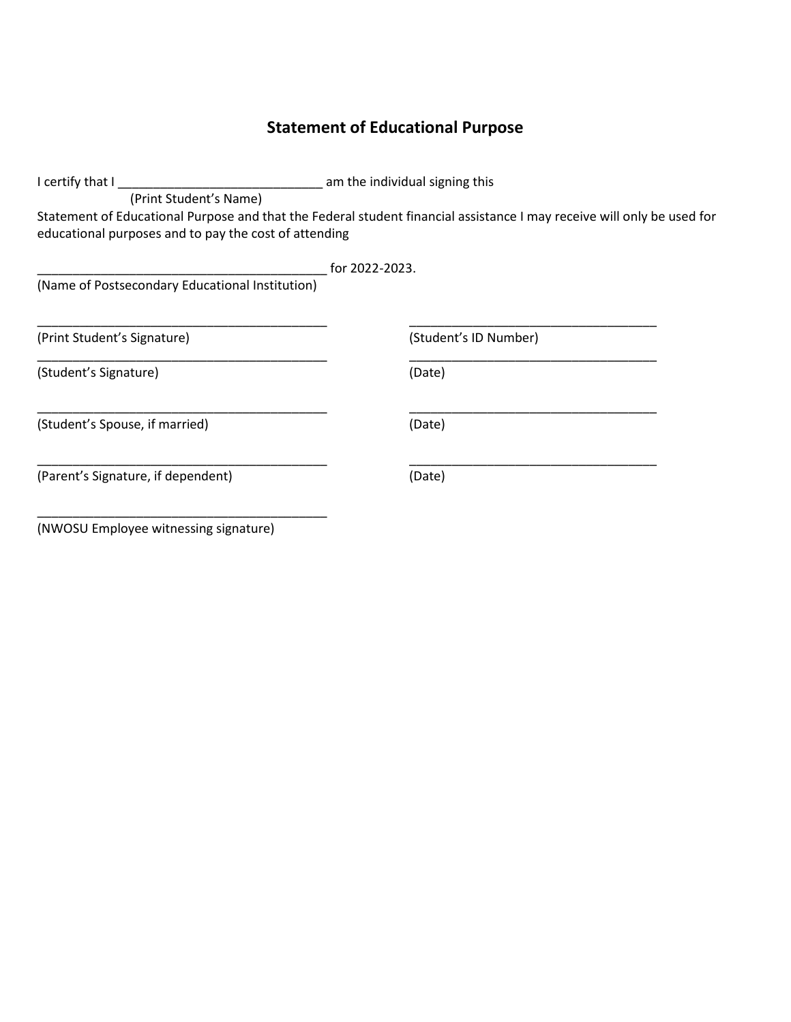# **Statement of Educational Purpose**

| I certify that I                                      | am the individual signing this                                                                                         |  |
|-------------------------------------------------------|------------------------------------------------------------------------------------------------------------------------|--|
| (Print Student's Name)                                |                                                                                                                        |  |
|                                                       | Statement of Educational Purpose and that the Federal student financial assistance I may receive will only be used for |  |
| educational purposes and to pay the cost of attending |                                                                                                                        |  |
|                                                       |                                                                                                                        |  |
|                                                       | for 2022-2023.                                                                                                         |  |
| (Name of Postsecondary Educational Institution)       |                                                                                                                        |  |
|                                                       |                                                                                                                        |  |
| (Print Student's Signature)                           | (Student's ID Number)                                                                                                  |  |
| (Student's Signature)                                 | (Date)                                                                                                                 |  |
| (Student's Spouse, if married)                        | (Date)                                                                                                                 |  |
| (Parent's Signature, if dependent)                    | (Date)                                                                                                                 |  |
|                                                       |                                                                                                                        |  |

(NWOSU Employee witnessing signature)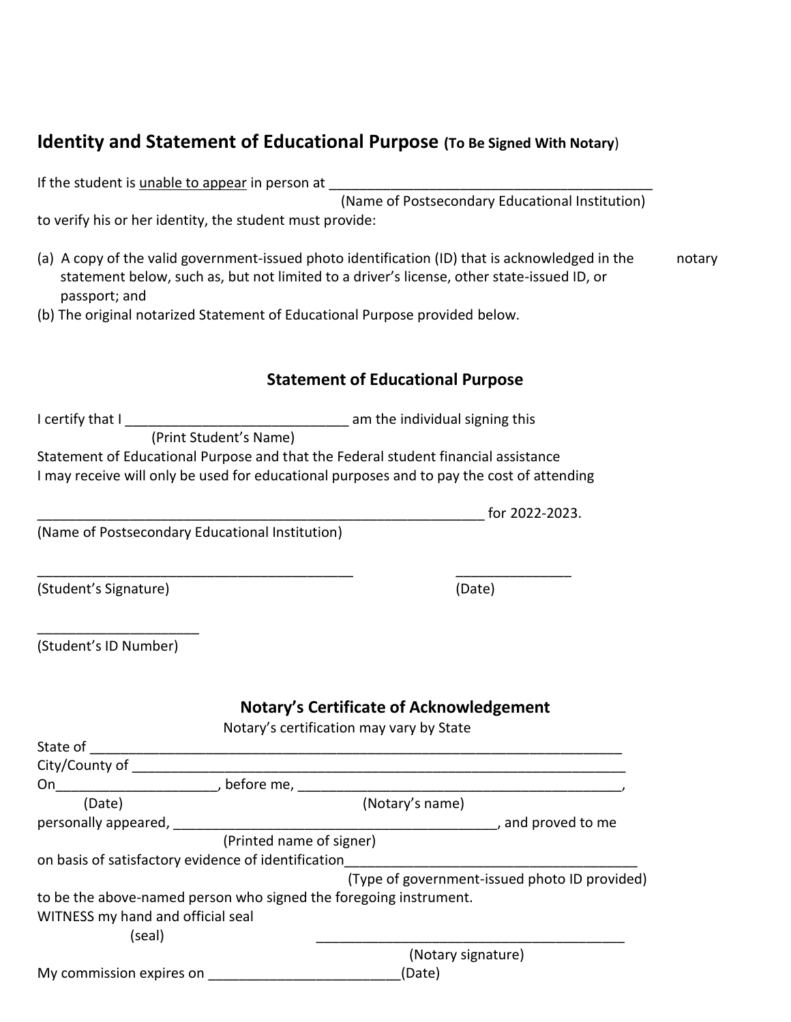### **Identity and Statement of Educational Purpose (To Be Signed With Notary**)

If the student is unable to appear in person at

(Name of Postsecondary Educational Institution)

 $\frac{1}{2}$  for 2022-2023.

to verify his or her identity, the student must provide:

- (a) A copy of the valid government-issued photo identification (ID) that is acknowledged in the notary statement below, such as, but not limited to a driver's license, other state-issued ID, or passport; and
- (b) The original notarized Statement of Educational Purpose provided below.

### **Statement of Educational Purpose**

I certify that I \_\_\_\_\_\_\_\_\_\_\_\_\_\_\_\_\_\_\_\_\_\_\_\_\_\_\_\_\_ am the individual signing this (Print Student's Name) Statement of Educational Purpose and that the Federal student financial assistance I may receive will only be used for educational purposes and to pay the cost of attending

\_\_\_\_\_\_\_\_\_\_\_\_\_\_\_\_\_\_\_\_\_\_\_\_\_\_\_\_\_\_\_\_\_\_\_\_\_\_\_\_\_ \_\_\_\_\_\_\_\_\_\_\_\_\_\_\_

(Name of Postsecondary Educational Institution)

(Student's Signature) (Date)

| (Student's ID Number) |  |
|-----------------------|--|

### **Notary's Certificate of Acknowledgement**

Notary's certification may vary by State

| State of                                                          |                                               |
|-------------------------------------------------------------------|-----------------------------------------------|
| City/County of                                                    |                                               |
| On<br>before me,                                                  |                                               |
| (Date)                                                            | (Notary's name)                               |
| personally appeared,                                              | , and proved to me                            |
| (Printed name of signer)                                          |                                               |
| on basis of satisfactory evidence of identification               |                                               |
|                                                                   | (Type of government-issued photo ID provided) |
| to be the above-named person who signed the foregoing instrument. |                                               |
| WITNESS my hand and official seal                                 |                                               |
| (seal)                                                            |                                               |
|                                                                   | (Notary signature)                            |
| My commission expires on                                          | (Date)                                        |